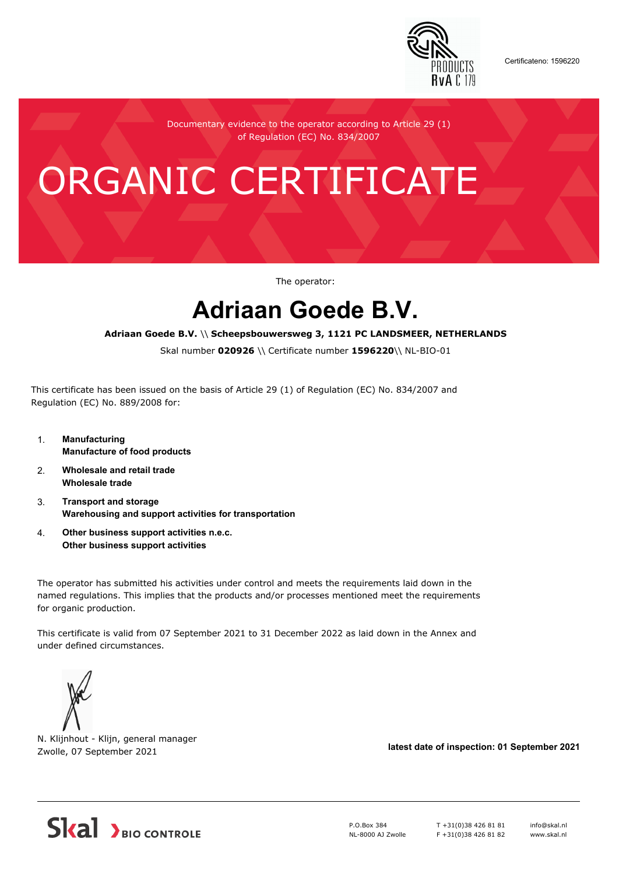

Certificateno: 1596220

Documentary evidence to the operator according to Article 29 (1) of Regulation (EC) No. 834/2007

# ORGANIC CERTIFICATE

The operator:

## **Adriaan Goede B.V.**

#### **Adriaan Goede B.V.** \\ **Scheepsbouwersweg 3, 1121 PC LANDSMEER, NETHERLANDS**

Skal number **020926** \\ Certificate number **1596220**\\ NL-BIO-01

This certificate has been issued on the basis of Article 29 (1) of Regulation (EC) No. 834/2007 and Regulation (EC) No. 889/2008 for:

- 1. **Manufacturing Manufacture of food products**
- 2. **Wholesale and retail trade Wholesale trade**
- 3. **Transport and storage Warehousing and support activities for transportation**
- 4. **Other business support activities n.e.c. Other business support activities**

The operator has submitted his activities under control and meets the requirements laid down in the named regulations. This implies that the products and/or processes mentioned meet the requirements for organic production.

This certificate is valid from 07 September 2021 to 31 December 2022 as laid down in the Annex and under defined circumstances.



N. Klijnhout - Klijn, general manager Zwolle, 07 September 2021 **latest date of inspection: 01 September 2021**



P.O.Box 384 NL-8000 AJ Zwolle T +31(0)38 426 81 81 F +31(0)38 426 81 82 info@skal.nl www.skal.nl